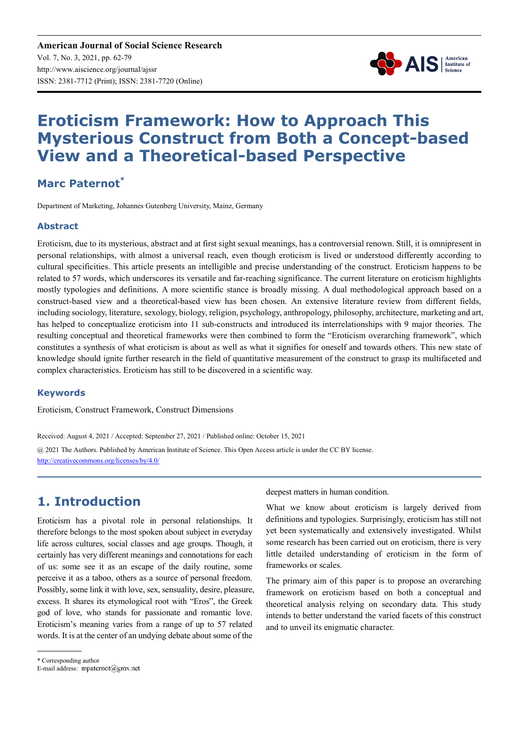**American Journal of Social Science Research** Vol. 7, No. 3, 2021, pp. 62-79 http://www.aiscience.org/journal/ajssr ISSN: 2381-7712 (Print); ISSN: 2381-7720 (Online)



# **Eroticism Framework: How to Approach This Mysterious Construct from Both a Concept-based View and a Theoretical-based Perspective**

# **Marc Paternot\***

Department of Marketing, Johannes Gutenberg University, Mainz, Germany

## **Abstract**

Eroticism, due to its mysterious, abstract and at first sight sexual meanings, has a controversial renown. Still, it is omnipresent in personal relationships, with almost a universal reach, even though eroticism is lived or understood differently according to cultural specificities. This article presents an intelligible and precise understanding of the construct. Eroticism happens to be related to 57 words, which underscores its versatile and far-reaching significance. The current literature on eroticism highlights mostly typologies and definitions. A more scientific stance is broadly missing. A dual methodological approach based on a construct-based view and a theoretical-based view has been chosen. An extensive literature review from different fields, including sociology, literature, sexology, biology, religion, psychology, anthropology, philosophy, architecture, marketing and art, has helped to conceptualize eroticism into 11 sub-constructs and introduced its interrelationships with 9 major theories. The resulting conceptual and theoretical frameworks were then combined to form the "Eroticism overarching framework", which constitutes a synthesis of what eroticism is about as well as what it signifies for oneself and towards others. This new state of knowledge should ignite further research in the field of quantitative measurement of the construct to grasp its multifaceted and complex characteristics. Eroticism has still to be discovered in a scientific way.

## **Keywords**

Eroticism, Construct Framework, Construct Dimensions

Received: August 4, 2021 / Accepted: September 27, 2021 / Published online: October 15, 2021

@ 2021 The Authors. Published by American Institute of Science. This Open Access article is under the CC BY license. http://creativecommons.org/licenses/by/4.0/

# **1. Introduction**

Eroticism has a pivotal role in personal relationships. It therefore belongs to the most spoken about subject in everyday life across cultures, social classes and age groups. Though, it certainly has very different meanings and connotations for each of us: some see it as an escape of the daily routine, some perceive it as a taboo, others as a source of personal freedom. Possibly, some link it with love, sex, sensuality, desire, pleasure, excess. It shares its etymological root with "Eros", the Greek god of love, who stands for passionate and romantic love. Eroticism's meaning varies from a range of up to 57 related words. It is at the center of an undying debate about some of the

deepest matters in human condition.

yet been systematically and extensively investigated. Whilst some research has been carried out on eroticism, there is very little detailed understanding of eroticism in the form of frameworks or scales.

What we know about eroticism is largely derived from definitions and typologies. Surprisingly, eroticism has still not

The primary aim of this paper is to propose an overarching framework on eroticism based on both a conceptual and theoretical analysis relying on secondary data. This study intends to better understand the varied facets of this construct and to unveil its enigmatic character.

<sup>\*</sup> Corresponding author

E-mail address: mpaternot@gmx.net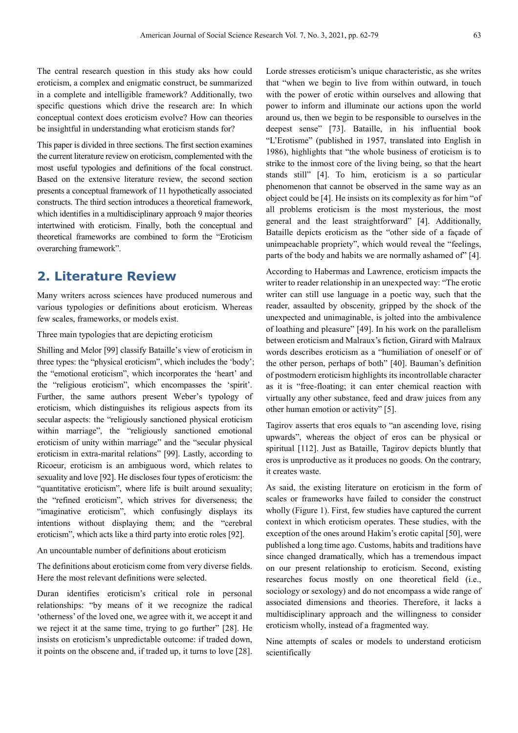The central research question in this study aks how could eroticism, a complex and enigmatic construct, be summarized in a complete and intelligible framework? Additionally, two specific questions which drive the research are: In which conceptual context does eroticism evolve? How can theories be insightful in understanding what eroticism stands for?

This paper is divided in three sections. The first section examines the current literature review on eroticism, complemented with the most useful typologies and definitions of the focal construct. Based on the extensive literature review, the second section presents a conceptual framework of 11 hypothetically associated constructs. The third section introduces a theoretical framework, which identifies in a multidisciplinary approach 9 major theories intertwined with eroticism. Finally, both the conceptual and theoretical frameworks are combined to form the "Eroticism overarching framework".

## **2. Literature Review**

Many writers across sciences have produced numerous and various typologies or definitions about eroticism. Whereas few scales, frameworks, or models exist.

Three main typologies that are depicting eroticism

Shilling and Melor [99] classify Bataille's view of eroticism in three types: the "physical eroticism", which includes the 'body'; the "emotional eroticism", which incorporates the 'heart' and the "religious eroticism", which encompasses the 'spirit'. Further, the same authors present Weber's typology of eroticism, which distinguishes its religious aspects from its secular aspects: the "religiously sanctioned physical eroticism within marriage", the "religiously sanctioned emotional eroticism of unity within marriage" and the "secular physical eroticism in extra-marital relations" [99]. Lastly, according to Ricoeur, eroticism is an ambiguous word, which relates to sexuality and love [92]. He discloses four types of eroticism: the "quantitative eroticism", where life is built around sexuality; the "refined eroticism", which strives for diverseness; the "imaginative eroticism", which confusingly displays its intentions without displaying them; and the "cerebral eroticism", which acts like a third party into erotic roles [92].

An uncountable number of definitions about eroticism

The definitions about eroticism come from very diverse fields. Here the most relevant definitions were selected.

Duran identifies eroticism's critical role in personal relationships: "by means of it we recognize the radical 'otherness' of the loved one, we agree with it, we accept it and we reject it at the same time, trying to go further" [28]. He insists on eroticism's unpredictable outcome: if traded down, it points on the obscene and, if traded up, it turns to love [28].

Lorde stresses eroticism's unique characteristic, as she writes that "when we begin to live from within outward, in touch with the power of erotic within ourselves and allowing that power to inform and illuminate our actions upon the world around us, then we begin to be responsible to ourselves in the deepest sense" [73]. Bataille, in his influential book "L'Erotisme" (published in 1957, translated into English in 1986), highlights that "the whole business of eroticism is to strike to the inmost core of the living being, so that the heart stands still" [4]. To him, eroticism is a so particular phenomenon that cannot be observed in the same way as an object could be [4]. He insists on its complexity as for him "of all problems eroticism is the most mysterious, the most general and the least straightforward" [4]. Additionally, Bataille depicts eroticism as the "other side of a façade of unimpeachable propriety", which would reveal the "feelings, parts of the body and habits we are normally ashamed of" [4].

According to Habermas and Lawrence, eroticism impacts the writer to reader relationship in an unexpected way: "The erotic writer can still use language in a poetic way, such that the reader, assaulted by obscenity, gripped by the shock of the unexpected and unimaginable, is jolted into the ambivalence of loathing and pleasure" [49]. In his work on the parallelism between eroticism and Malraux's fiction, Girard with Malraux words describes eroticism as a "humiliation of oneself or of the other person, perhaps of both" [40]. Bauman's definition of postmodern eroticism highlights its incontrollable character as it is "free-floating; it can enter chemical reaction with virtually any other substance, feed and draw juices from any other human emotion or activity" [5].

Tagirov asserts that eros equals to "an ascending love, rising upwards", whereas the object of eros can be physical or spiritual [112]. Just as Bataille, Tagirov depicts bluntly that eros is unproductive as it produces no goods. On the contrary, it creates waste.

As said, the existing literature on eroticism in the form of scales or frameworks have failed to consider the construct wholly (Figure 1). First, few studies have captured the current context in which eroticism operates. These studies, with the exception of the ones around Hakim's erotic capital [50], were published a long time ago. Customs, habits and traditions have since changed dramatically, which has a tremendous impact on our present relationship to eroticism. Second, existing researches focus mostly on one theoretical field (i.e., sociology or sexology) and do not encompass a wide range of associated dimensions and theories. Therefore, it lacks a multidisciplinary approach and the willingness to consider eroticism wholly, instead of a fragmented way.

Nine attempts of scales or models to understand eroticism scientifically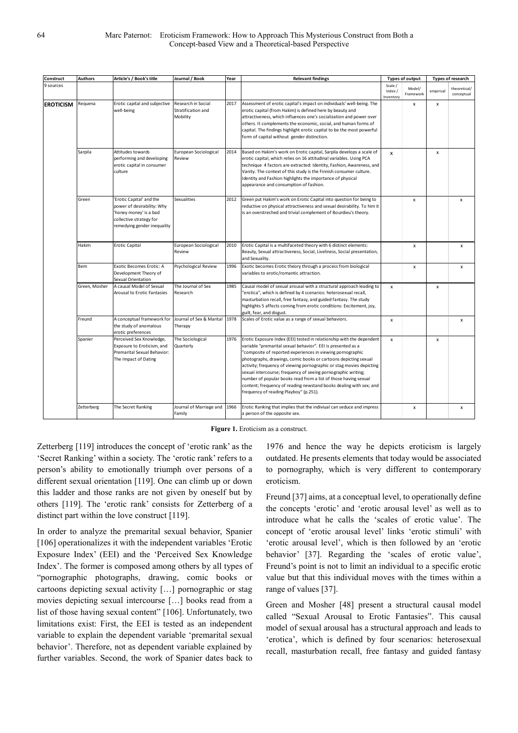| Construct        | <b>Authors</b> | Article's / Book's title                                                                                                                  | Journal / Book                                       | Year | <b>Relevant findings</b>                                                                                                                                                                                                                                                                                                                                                                                                                                                                                                                                                                           | <b>Types of output</b>          |                     | Types of research  |                            |
|------------------|----------------|-------------------------------------------------------------------------------------------------------------------------------------------|------------------------------------------------------|------|----------------------------------------------------------------------------------------------------------------------------------------------------------------------------------------------------------------------------------------------------------------------------------------------------------------------------------------------------------------------------------------------------------------------------------------------------------------------------------------------------------------------------------------------------------------------------------------------------|---------------------------------|---------------------|--------------------|----------------------------|
| 9 sources        |                |                                                                                                                                           |                                                      |      |                                                                                                                                                                                                                                                                                                                                                                                                                                                                                                                                                                                                    | Scale /<br>Index /<br>Inventory | Model/<br>Framework | empirical          | theoretical/<br>conceptual |
| <b>EROTICISM</b> | Requena        | Erotic capital and subjective<br>well-being                                                                                               | Research in Social<br>Stratification and<br>Mobility | 2017 | Assessment of erotic capital's impact on individuals' well-being. The<br>erotic capital (from Hakim) is defined here by beauty and<br>attractiveness, which influences one's socialization and power over<br>others. It complements the economic, social, and human forms of<br>capital. The findings highlight erotic capital to be the most powerful<br>form of capital without gender distinction.                                                                                                                                                                                              |                                 | x                   | $\pmb{\mathsf{x}}$ |                            |
|                  | Sarpila        | Attitudes towards<br>performing and developing<br>erotic capital in consumer<br>culture                                                   | European Sociological<br>Review                      | 2014 | Based on Hakim's work on Erotic capital, Sarpila develops a scale of<br>erotic capital, which relies on 16 attitudinal variables. Using PCA<br>technique 4 factors are extracted: Identity, Fashion, Awareness, and<br>Vanity. The context of this study is the Finnish consumer culture.<br>Identity and Fashion highlights the importance of physical<br>appearance and consumption of fashion.                                                                                                                                                                                                  | X                               |                     | x                  |                            |
|                  | Green          | Erotic Capital' and the<br>power of desirability: Why<br>'honey money' is a bad<br>collective strategy for<br>remedying gender inequality | <b>Sexualities</b>                                   | 2012 | Green put Hakim's work on Erotic Capital into question for being to<br>reductive on physical attractiveness and sexual desirability. To him it<br>is an overstreched and trivial complement of Bourdieu's theory.                                                                                                                                                                                                                                                                                                                                                                                  |                                 | x                   |                    | $\pmb{\times}$             |
|                  | Hakim          | <b>Erotic Capital</b>                                                                                                                     | European Sociological<br>Review                      | 2010 | Erotic Capital is a multifaceted theory with 6 distinct elements:<br>Beauty, Sexual attractiveness, Social, Liveliness, Social presentation,<br>and Sexuality.                                                                                                                                                                                                                                                                                                                                                                                                                                     |                                 | x                   |                    | x                          |
|                  | Bem            | Exotic Becomes Erotic: A<br>Development Theory of<br>Sexual Orientation                                                                   | Psychological Review                                 | 1996 | Exotic becomes Erotic theory through a process from biological<br>variables to erotic/romantic attraction.                                                                                                                                                                                                                                                                                                                                                                                                                                                                                         |                                 | x                   |                    | х                          |
|                  | Green, Mosher  | A causal Model of Sexual<br>Arousal to Erotic Fantasies                                                                                   | The Journal of Sex<br>Research                       | 1985 | Causal model of sexual arousal with a structural approach leading to<br>'erotica", which is defined by 4 scenarios: heterosexual recall,<br>masturbation recall, free fantasy, and guided fantasy. The study<br>highlights 5 affects coming from erotic conditions: Excitement, joy,<br>guilt, fear, and disgust.                                                                                                                                                                                                                                                                                  | x                               |                     | x                  |                            |
|                  | Freund         | A conceptual framework for<br>the study of anomalous<br>erotic preferences                                                                | Journal of Sex & Marital<br>Therapy                  | 1978 | Scales of Erotic value as a range of sexual behaviors.                                                                                                                                                                                                                                                                                                                                                                                                                                                                                                                                             | x                               |                     |                    | x                          |
|                  | Spanier        | Perceived Sex Knowledge,<br>Exposure to Eroticism, and<br>Premarital Sexual Behavior:<br>The Impact of Dating                             | The Sociological<br>Quarterly                        | 1976 | Erotic Exposure Index (EEI) tested in relationship with the dependent<br>variable "premarital sexual behavior". EEI is presented as a<br>'composite of reported experiences in viewing pornographic<br>photographs, drawings, comic books or cartoons depicting sexual<br>activity; frequency of viewing pornographic or stag movies depicting<br>sexual intercourse; frequency of seeing pornographic writing;<br>number of popular books read from a list of those having sexual<br>content; frequency of reading newstand books dealing with sex; and<br>frequency of reading Playboy" (p.251). | x                               |                     | x                  |                            |
|                  | Zetterberg     | The Secret Ranking                                                                                                                        | Journal of Marriage and<br>Family                    | 1966 | Erotic Ranking that implies that the indiviual can seduce and impress<br>a person of the opposite sex.                                                                                                                                                                                                                                                                                                                                                                                                                                                                                             |                                 | x                   |                    | x                          |

Figure 1. Eroticism as a construct.

Zetterberg [119] introduces the concept of 'erotic rank' as the 'Secret Ranking' within a society. The 'erotic rank' refers to a person's ability to emotionally triumph over persons of a different sexual orientation [119]. One can climb up or down this ladder and those ranks are not given by oneself but by others [119]. The 'erotic rank' consists for Zetterberg of a distinct part within the love construct [119].

In order to analyze the premarital sexual behavior, Spanier [106] operationalizes it with the independent variables 'Erotic Exposure Index' (EEI) and the 'Perceived Sex Knowledge Index'. The former is composed among others by all types of "pornographic photographs, drawing, comic books or cartoons depicting sexual activity […] pornographic or stag movies depicting sexual intercourse […] books read from a list of those having sexual content" [106]. Unfortunately, two limitations exist: First, the EEI is tested as an independent variable to explain the dependent variable 'premarital sexual behavior'. Therefore, not as dependent variable explained by further variables. Second, the work of Spanier dates back to 1976 and hence the way he depicts eroticism is largely outdated. He presents elements that today would be associated to pornography, which is very different to contemporary eroticism.

Freund [37] aims, at a conceptual level, to operationally define the concepts 'erotic' and 'erotic arousal level' as well as to introduce what he calls the 'scales of erotic value'. The concept of 'erotic arousal level' links 'erotic stimuli' with 'erotic arousal level', which is then followed by an 'erotic behavior' [37]. Regarding the 'scales of erotic value', Freund's point is not to limit an individual to a specific erotic value but that this individual moves with the times within a range of values [37].

Green and Mosher [48] present a structural causal model called "Sexual Arousal to Erotic Fantasies". This causal model of sexual arousal has a structural approach and leads to 'erotica', which is defined by four scenarios: heterosexual recall, masturbation recall, free fantasy and guided fantasy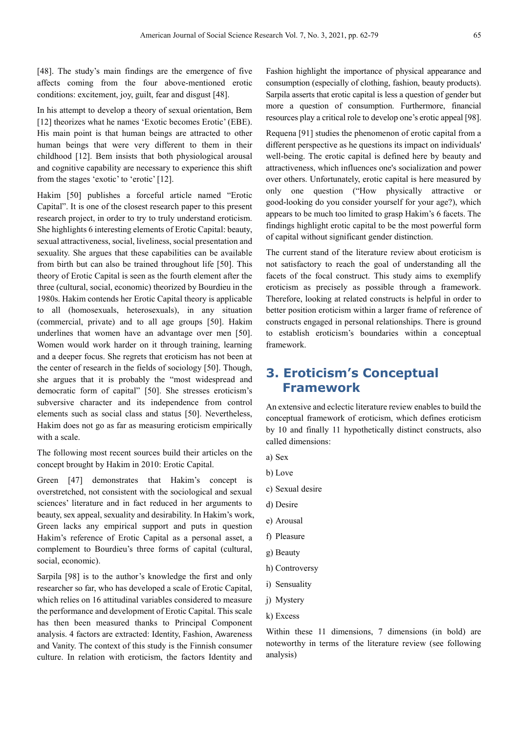[48]. The study's main findings are the emergence of five affects coming from the four above-mentioned erotic conditions: excitement, joy, guilt, fear and disgust [48].

In his attempt to develop a theory of sexual orientation, Bem [12] theorizes what he names 'Exotic becomes Erotic' (EBE). His main point is that human beings are attracted to other human beings that were very different to them in their childhood [12]. Bem insists that both physiological arousal and cognitive capability are necessary to experience this shift from the stages 'exotic' to 'erotic' [12].

Hakim [50] publishes a forceful article named "Erotic Capital". It is one of the closest research paper to this present research project, in order to try to truly understand eroticism. She highlights 6 interesting elements of Erotic Capital: beauty, sexual attractiveness, social, liveliness, social presentation and sexuality. She argues that these capabilities can be available from birth but can also be trained throughout life [50]. This theory of Erotic Capital is seen as the fourth element after the three (cultural, social, economic) theorized by Bourdieu in the 1980s. Hakim contends her Erotic Capital theory is applicable to all (homosexuals, heterosexuals), in any situation (commercial, private) and to all age groups [50]. Hakim underlines that women have an advantage over men [50]. Women would work harder on it through training, learning and a deeper focus. She regrets that eroticism has not been at the center of research in the fields of sociology [50]. Though, she argues that it is probably the "most widespread and democratic form of capital" [50]. She stresses eroticism's subversive character and its independence from control elements such as social class and status [50]. Nevertheless, Hakim does not go as far as measuring eroticism empirically with a scale.

The following most recent sources build their articles on the concept brought by Hakim in 2010: Erotic Capital.

Green [47] demonstrates that Hakim's concept is overstretched, not consistent with the sociological and sexual sciences' literature and in fact reduced in her arguments to beauty, sex appeal, sexuality and desirability. In Hakim's work, Green lacks any empirical support and puts in question Hakim's reference of Erotic Capital as a personal asset, a complement to Bourdieu's three forms of capital (cultural, social, economic).

Sarpila [98] is to the author's knowledge the first and only researcher so far, who has developed a scale of Erotic Capital, which relies on 16 attitudinal variables considered to measure the performance and development of Erotic Capital. This scale has then been measured thanks to Principal Component analysis. 4 factors are extracted: Identity, Fashion, Awareness and Vanity. The context of this study is the Finnish consumer culture. In relation with eroticism, the factors Identity and

Fashion highlight the importance of physical appearance and consumption (especially of clothing, fashion, beauty products). Sarpila asserts that erotic capital is less a question of gender but more a question of consumption. Furthermore, financial resources play a critical role to develop one's erotic appeal [98].

Requena [91] studies the phenomenon of erotic capital from a different perspective as he questions its impact on individuals' well-being. The erotic capital is defined here by beauty and attractiveness, which influences one's socialization and power over others. Unfortunately, erotic capital is here measured by only one question ("How physically attractive or good-looking do you consider yourself for your age?), which appears to be much too limited to grasp Hakim's 6 facets. The findings highlight erotic capital to be the most powerful form of capital without significant gender distinction.

The current stand of the literature review about eroticism is not satisfactory to reach the goal of understanding all the facets of the focal construct. This study aims to exemplify eroticism as precisely as possible through a framework. Therefore, looking at related constructs is helpful in order to better position eroticism within a larger frame of reference of constructs engaged in personal relationships. There is ground to establish eroticism's boundaries within a conceptual framework.

# **3. Eroticism's Conceptual Framework**

An extensive and eclectic literature review enables to build the conceptual framework of eroticism, which defines eroticism by 10 and finally 11 hypothetically distinct constructs, also called dimensions:

- a) Sex
- b) Love
- c) Sexual desire
- d) Desire
- e) Arousal
- f) Pleasure
- g) Beauty
- h) Controversy
- i) Sensuality
- j) Mystery
- k) Excess

Within these 11 dimensions, 7 dimensions (in bold) are noteworthy in terms of the literature review (see following analysis)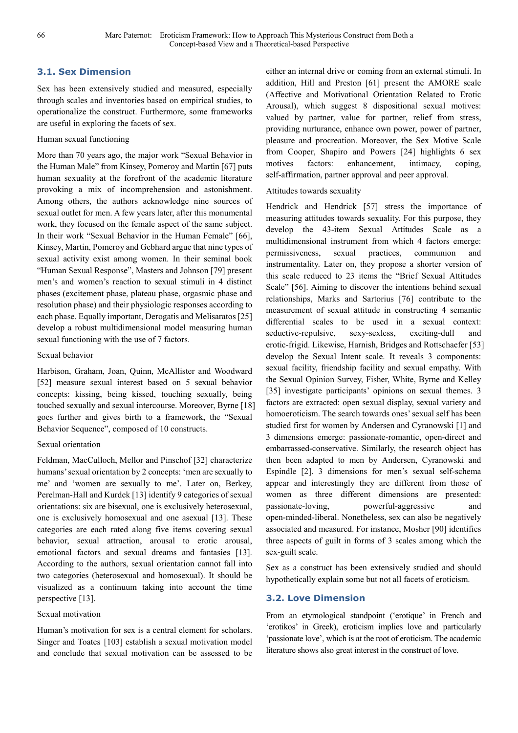## **3.1. Sex Dimension**

Sex has been extensively studied and measured, especially through scales and inventories based on empirical studies, to operationalize the construct. Furthermore, some frameworks are useful in exploring the facets of sex.

#### Human sexual functioning

More than 70 years ago, the major work "Sexual Behavior in the Human Male" from Kinsey, Pomeroy and Martin [67] puts human sexuality at the forefront of the academic literature provoking a mix of incomprehension and astonishment. Among others, the authors acknowledge nine sources of sexual outlet for men. A few years later, after this monumental work, they focused on the female aspect of the same subject. In their work "Sexual Behavior in the Human Female" [66], Kinsey, Martin, Pomeroy and Gebhard argue that nine types of sexual activity exist among women. In their seminal book "Human Sexual Response", Masters and Johnson [79] present men's and women's reaction to sexual stimuli in 4 distinct phases (excitement phase, plateau phase, orgasmic phase and resolution phase) and their physiologic responses according to each phase. Equally important, Derogatis and Melisaratos [25] develop a robust multidimensional model measuring human sexual functioning with the use of 7 factors.

#### Sexual behavior

Harbison, Graham, Joan, Quinn, McAllister and Woodward [52] measure sexual interest based on 5 sexual behavior concepts: kissing, being kissed, touching sexually, being touched sexually and sexual intercourse. Moreover, Byrne [18] goes further and gives birth to a framework, the "Sexual Behavior Sequence", composed of 10 constructs.

#### Sexual orientation

Feldman, MacCulloch, Mellor and Pinschof [32] characterize humans' sexual orientation by 2 concepts: 'men are sexually to me' and 'women are sexually to me'. Later on, Berkey, Perelman-Hall and Kurdek [13] identify 9 categories of sexual orientations: six are bisexual, one is exclusively heterosexual, one is exclusively homosexual and one asexual [13]. These categories are each rated along five items covering sexual behavior, sexual attraction, arousal to erotic arousal, emotional factors and sexual dreams and fantasies [13]. According to the authors, sexual orientation cannot fall into two categories (heterosexual and homosexual). It should be visualized as a continuum taking into account the time perspective [13].

#### Sexual motivation

Human's motivation for sex is a central element for scholars. Singer and Toates [103] establish a sexual motivation model and conclude that sexual motivation can be assessed to be either an internal drive or coming from an external stimuli. In addition, Hill and Preston [61] present the AMORE scale (Affective and Motivational Orientation Related to Erotic Arousal), which suggest 8 dispositional sexual motives: valued by partner, value for partner, relief from stress, providing nurturance, enhance own power, power of partner, pleasure and procreation. Moreover, the Sex Motive Scale from Cooper, Shapiro and Powers [24] highlights 6 sex motives factors: enhancement, intimacy, coping, self-affirmation, partner approval and peer approval.

#### Attitudes towards sexuality

Hendrick and Hendrick [57] stress the importance of measuring attitudes towards sexuality. For this purpose, they develop the 43-item Sexual Attitudes Scale as a multidimensional instrument from which 4 factors emerge: permissiveness, sexual practices, communion and instrumentality. Later on, they propose a shorter version of this scale reduced to 23 items the "Brief Sexual Attitudes Scale" [56]. Aiming to discover the intentions behind sexual relationships, Marks and Sartorius [76] contribute to the measurement of sexual attitude in constructing 4 semantic differential scales to be used in a sexual context: seductive-repulsive, sexy-sexless, exciting-dull and erotic-frigid. Likewise, Harnish, Bridges and Rottschaefer [53] develop the Sexual Intent scale. It reveals 3 components: sexual facility, friendship facility and sexual empathy. With the Sexual Opinion Survey, Fisher, White, Byrne and Kelley [35] investigate participants' opinions on sexual themes. 3 factors are extracted: open sexual display, sexual variety and homoeroticism. The search towards ones' sexual self has been studied first for women by Andersen and Cyranowski [1] and 3 dimensions emerge: passionate-romantic, open-direct and embarrassed-conservative. Similarly, the research object has then been adapted to men by Andersen, Cyranowski and Espindle [2]. 3 dimensions for men's sexual self-schema appear and interestingly they are different from those of women as three different dimensions are presented: passionate-loving, powerful-aggressive and open-minded-liberal. Nonetheless, sex can also be negatively associated and measured. For instance, Mosher [90] identifies three aspects of guilt in forms of 3 scales among which the sex-guilt scale.

Sex as a construct has been extensively studied and should hypothetically explain some but not all facets of eroticism.

#### **3.2. Love Dimension**

From an etymological standpoint ('erotique' in French and 'erotikos' in Greek), eroticism implies love and particularly 'passionate love', which is at the root of eroticism. The academic literature shows also great interest in the construct of love.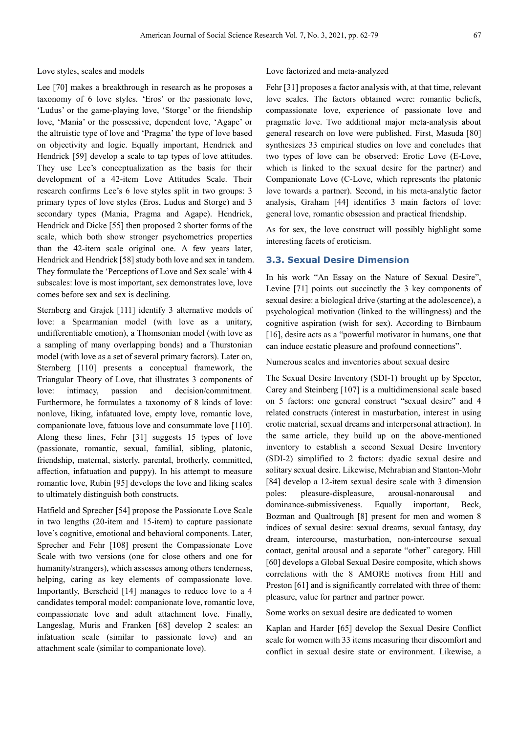#### Love styles, scales and models

Lee [70] makes a breakthrough in research as he proposes a taxonomy of 6 love styles. 'Eros' or the passionate love, 'Ludus' or the game-playing love, 'Storge' or the friendship love, 'Mania' or the possessive, dependent love, 'Agape' or the altruistic type of love and 'Pragma' the type of love based on objectivity and logic. Equally important, Hendrick and Hendrick [59] develop a scale to tap types of love attitudes. They use Lee's conceptualization as the basis for their development of a 42-item Love Attitudes Scale. Their research confirms Lee's 6 love styles split in two groups: 3 primary types of love styles (Eros, Ludus and Storge) and 3 secondary types (Mania, Pragma and Agape). Hendrick, Hendrick and Dicke [55] then proposed 2 shorter forms of the scale, which both show stronger psychometrics properties than the 42-item scale original one. A few years later, Hendrick and Hendrick [58] study both love and sex in tandem. They formulate the 'Perceptions of Love and Sex scale' with 4 subscales: love is most important, sex demonstrates love, love comes before sex and sex is declining.

Sternberg and Grajek [111] identify 3 alternative models of love: a Spearmanian model (with love as a unitary, undifferentiable emotion), a Thomsonian model (with love as a sampling of many overlapping bonds) and a Thurstonian model (with love as a set of several primary factors). Later on, Sternberg [110] presents a conceptual framework, the Triangular Theory of Love, that illustrates 3 components of love: intimacy, passion and decision/commitment. Furthermore, he formulates a taxonomy of 8 kinds of love: nonlove, liking, infatuated love, empty love, romantic love, companionate love, fatuous love and consummate love [110]. Along these lines, Fehr [31] suggests 15 types of love (passionate, romantic, sexual, familial, sibling, platonic, friendship, maternal, sisterly, parental, brotherly, committed, affection, infatuation and puppy). In his attempt to measure romantic love, Rubin [95] develops the love and liking scales to ultimately distinguish both constructs.

Hatfield and Sprecher [54] propose the Passionate Love Scale in two lengths (20-item and 15-item) to capture passionate love's cognitive, emotional and behavioral components. Later, Sprecher and Fehr [108] present the Compassionate Love Scale with two versions (one for close others and one for humanity/strangers), which assesses among others tenderness, helping, caring as key elements of compassionate love. Importantly, Berscheid [14] manages to reduce love to a 4 candidates temporal model: companionate love, romantic love, compassionate love and adult attachment love. Finally, Langeslag, Muris and Franken [68] develop 2 scales: an infatuation scale (similar to passionate love) and an attachment scale (similar to companionate love).

### Love factorized and meta-analyzed

Fehr [31] proposes a factor analysis with, at that time, relevant love scales. The factors obtained were: romantic beliefs, compassionate love, experience of passionate love and pragmatic love. Two additional major meta-analysis about general research on love were published. First, Masuda [80] synthesizes 33 empirical studies on love and concludes that two types of love can be observed: Erotic Love (E-Love, which is linked to the sexual desire for the partner) and Companionate Love (C-Love, which represents the platonic love towards a partner). Second, in his meta-analytic factor analysis, Graham [44] identifies 3 main factors of love: general love, romantic obsession and practical friendship.

As for sex, the love construct will possibly highlight some interesting facets of eroticism.

#### **3.3. Sexual Desire Dimension**

In his work "An Essay on the Nature of Sexual Desire", Levine [71] points out succinctly the 3 key components of sexual desire: a biological drive (starting at the adolescence), a psychological motivation (linked to the willingness) and the cognitive aspiration (wish for sex). According to Birnbaum [16], desire acts as a "powerful motivator in humans, one that can induce ecstatic pleasure and profound connections".

Numerous scales and inventories about sexual desire

The Sexual Desire Inventory (SDI-1) brought up by Spector, Carey and Steinberg [107] is a multidimensional scale based on 5 factors: one general construct "sexual desire" and 4 related constructs (interest in masturbation, interest in using erotic material, sexual dreams and interpersonal attraction). In the same article, they build up on the above-mentioned inventory to establish a second Sexual Desire Inventory (SDI-2) simplified to 2 factors: dyadic sexual desire and solitary sexual desire. Likewise, Mehrabian and Stanton-Mohr [84] develop a 12-item sexual desire scale with 3 dimension poles: pleasure-displeasure, arousal-nonarousal and dominance-submissiveness. Equally important, Beck, Bozman and Qualtrough [8] present for men and women 8 indices of sexual desire: sexual dreams, sexual fantasy, day dream, intercourse, masturbation, non-intercourse sexual contact, genital arousal and a separate "other" category. Hill [60] develops a Global Sexual Desire composite, which shows correlations with the 8 AMORE motives from Hill and Preston [61] and is significantly correlated with three of them: pleasure, value for partner and partner power.

Some works on sexual desire are dedicated to women

Kaplan and Harder [65] develop the Sexual Desire Conflict scale for women with 33 items measuring their discomfort and conflict in sexual desire state or environment. Likewise, a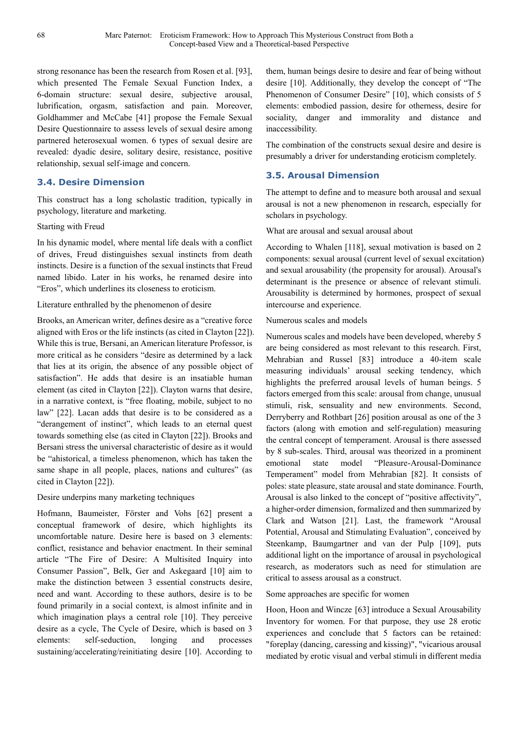strong resonance has been the research from Rosen et al. [93], which presented The Female Sexual Function Index, a 6-domain structure: sexual desire, subjective arousal, lubrification, orgasm, satisfaction and pain. Moreover, Goldhammer and McCabe [41] propose the Female Sexual Desire Questionnaire to assess levels of sexual desire among partnered heterosexual women. 6 types of sexual desire are revealed: dyadic desire, solitary desire, resistance, positive relationship, sexual self-image and concern.

### **3.4. Desire Dimension**

This construct has a long scholastic tradition, typically in psychology, literature and marketing.

### Starting with Freud

In his dynamic model, where mental life deals with a conflict of drives, Freud distinguishes sexual instincts from death instincts. Desire is a function of the sexual instincts that Freud named libido. Later in his works, he renamed desire into "Eros", which underlines its closeness to eroticism.

#### Literature enthralled by the phenomenon of desire

Brooks, an American writer, defines desire as a "creative force aligned with Eros or the life instincts (as cited in Clayton [22]). While this is true, Bersani, an American literature Professor, is more critical as he considers "desire as determined by a lack that lies at its origin, the absence of any possible object of satisfaction". He adds that desire is an insatiable human element (as cited in Clayton [22]). Clayton warns that desire, in a narrative context, is "free floating, mobile, subject to no law" [22]. Lacan adds that desire is to be considered as a "derangement of instinct", which leads to an eternal quest towards something else (as cited in Clayton [22]). Brooks and Bersani stress the universal characteristic of desire as it would be "ahistorical, a timeless phenomenon, which has taken the same shape in all people, places, nations and cultures" (as cited in Clayton [22]).

### Desire underpins many marketing techniques

Hofmann, Baumeister, Förster and Vohs [62] present a conceptual framework of desire, which highlights its uncomfortable nature. Desire here is based on 3 elements: conflict, resistance and behavior enactment. In their seminal article "The Fire of Desire: A Multisited Inquiry into Consumer Passion", Belk, Ger and Askegaard [10] aim to make the distinction between 3 essential constructs desire, need and want. According to these authors, desire is to be found primarily in a social context, is almost infinite and in which imagination plays a central role [10]. They perceive desire as a cycle, The Cycle of Desire, which is based on 3 elements: self-seduction, longing and processes sustaining/accelerating/reinitiating desire [10]. According to them, human beings desire to desire and fear of being without desire [10]. Additionally, they develop the concept of "The Phenomenon of Consumer Desire" [10], which consists of 5 elements: embodied passion, desire for otherness, desire for sociality, danger and immorality and distance and inaccessibility.

The combination of the constructs sexual desire and desire is presumably a driver for understanding eroticism completely.

## **3.5. Arousal Dimension**

The attempt to define and to measure both arousal and sexual arousal is not a new phenomenon in research, especially for scholars in psychology.

What are arousal and sexual arousal about

According to Whalen [118], sexual motivation is based on 2 components: sexual arousal (current level of sexual excitation) and sexual arousability (the propensity for arousal). Arousal's determinant is the presence or absence of relevant stimuli. Arousability is determined by hormones, prospect of sexual intercourse and experience.

### Numerous scales and models

Numerous scales and models have been developed, whereby 5 are being considered as most relevant to this research. First, Mehrabian and Russel [83] introduce a 40-item scale measuring individuals' arousal seeking tendency, which highlights the preferred arousal levels of human beings. 5 factors emerged from this scale: arousal from change, unusual stimuli, risk, sensuality and new environments. Second, Derryberry and Rothbart [26] position arousal as one of the 3 factors (along with emotion and self-regulation) measuring the central concept of temperament. Arousal is there assessed by 8 sub-scales. Third, arousal was theorized in a prominent emotional state model "Pleasure-Arousal-Dominance Temperament" model from Mehrabian [82]. It consists of poles: state pleasure, state arousal and state dominance. Fourth, Arousal is also linked to the concept of "positive affectivity", a higher-order dimension, formalized and then summarized by Clark and Watson [21]. Last, the framework "Arousal Potential, Arousal and Stimulating Evaluation", conceived by Steenkamp, Baumgartner and van der Pulp [109], puts additional light on the importance of arousal in psychological research, as moderators such as need for stimulation are critical to assess arousal as a construct.

#### Some approaches are specific for women

Hoon, Hoon and Wincze [63] introduce a Sexual Arousability Inventory for women. For that purpose, they use 28 erotic experiences and conclude that 5 factors can be retained: "foreplay (dancing, caressing and kissing)", "vicarious arousal mediated by erotic visual and verbal stimuli in different media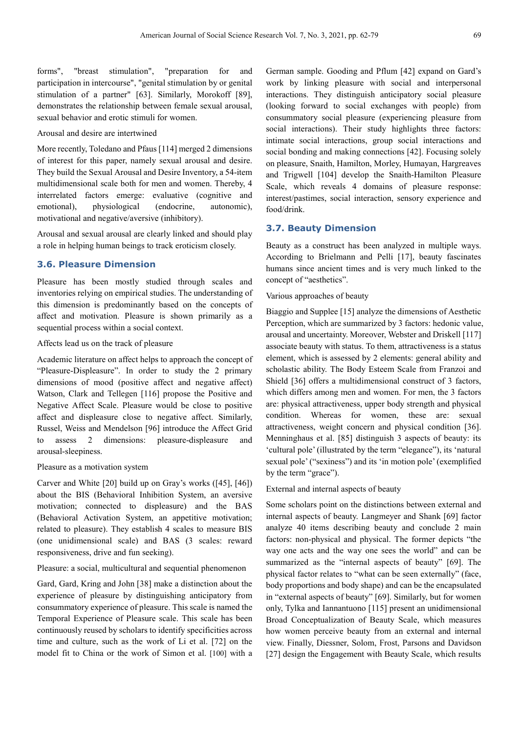forms", "breast stimulation", "preparation for and participation in intercourse", "genital stimulation by or genital stimulation of a partner" [63]. Similarly, Morokoff [89], demonstrates the relationship between female sexual arousal, sexual behavior and erotic stimuli for women.

#### Arousal and desire are intertwined

More recently, Toledano and Pfaus [114] merged 2 dimensions of interest for this paper, namely sexual arousal and desire. They build the Sexual Arousal and Desire Inventory, a 54-item multidimensional scale both for men and women. Thereby, 4 interrelated factors emerge: evaluative (cognitive and emotional), physiological (endocrine, autonomic), motivational and negative/aversive (inhibitory).

Arousal and sexual arousal are clearly linked and should play a role in helping human beings to track eroticism closely.

#### **3.6. Pleasure Dimension**

Pleasure has been mostly studied through scales and inventories relying on empirical studies. The understanding of this dimension is predominantly based on the concepts of affect and motivation. Pleasure is shown primarily as a sequential process within a social context.

#### Affects lead us on the track of pleasure

Academic literature on affect helps to approach the concept of "Pleasure-Displeasure". In order to study the 2 primary dimensions of mood (positive affect and negative affect) Watson, Clark and Tellegen [116] propose the Positive and Negative Affect Scale. Pleasure would be close to positive affect and displeasure close to negative affect. Similarly, Russel, Weiss and Mendelson [96] introduce the Affect Grid to assess 2 dimensions: pleasure-displeasure and arousal-sleepiness.

#### Pleasure as a motivation system

Carver and White [20] build up on Gray's works ([45], [46]) about the BIS (Behavioral Inhibition System, an aversive motivation; connected to displeasure) and the BAS (Behavioral Activation System, an appetitive motivation; related to pleasure). They establish 4 scales to measure BIS (one unidimensional scale) and BAS (3 scales: reward responsiveness, drive and fun seeking).

#### Pleasure: a social, multicultural and sequential phenomenon

Gard, Gard, Kring and John [38] make a distinction about the experience of pleasure by distinguishing anticipatory from consummatory experience of pleasure. This scale is named the Temporal Experience of Pleasure scale. This scale has been continuously reused by scholars to identify specificities across time and culture, such as the work of Li et al. [72] on the model fit to China or the work of Simon et al. [100] with a German sample. Gooding and Pflum [42] expand on Gard's work by linking pleasure with social and interpersonal interactions. They distinguish anticipatory social pleasure (looking forward to social exchanges with people) from consummatory social pleasure (experiencing pleasure from social interactions). Their study highlights three factors: intimate social interactions, group social interactions and social bonding and making connections [42]. Focusing solely on pleasure, Snaith, Hamilton, Morley, Humayan, Hargreaves and Trigwell [104] develop the Snaith-Hamilton Pleasure Scale, which reveals 4 domains of pleasure response: interest/pastimes, social interaction, sensory experience and food/drink.

#### **3.7. Beauty Dimension**

Beauty as a construct has been analyzed in multiple ways. According to Brielmann and Pelli [17], beauty fascinates humans since ancient times and is very much linked to the concept of "aesthetics".

#### Various approaches of beauty

Biaggio and Supplee [15] analyze the dimensions of Aesthetic Perception, which are summarized by 3 factors: hedonic value, arousal and uncertainty. Moreover, Webster and Driskell [117] associate beauty with status. To them, attractiveness is a status element, which is assessed by 2 elements: general ability and scholastic ability. The Body Esteem Scale from Franzoi and Shield [36] offers a multidimensional construct of 3 factors, which differs among men and women. For men, the 3 factors are: physical attractiveness, upper body strength and physical condition. Whereas for women, these are: sexual attractiveness, weight concern and physical condition [36]. Menninghaus et al. [85] distinguish 3 aspects of beauty: its 'cultural pole' (illustrated by the term "elegance"), its 'natural sexual pole' ("sexiness") and its 'in motion pole' (exemplified by the term "grace").

#### External and internal aspects of beauty

Some scholars point on the distinctions between external and internal aspects of beauty. Langmeyer and Shank [69] factor analyze 40 items describing beauty and conclude 2 main factors: non-physical and physical. The former depicts "the way one acts and the way one sees the world" and can be summarized as the "internal aspects of beauty" [69]. The physical factor relates to "what can be seen externally" (face, body proportions and body shape) and can be the encapsulated in "external aspects of beauty" [69]. Similarly, but for women only, Tylka and Iannantuono [115] present an unidimensional Broad Conceptualization of Beauty Scale, which measures how women perceive beauty from an external and internal view. Finally, Diessner, Solom, Frost, Parsons and Davidson [27] design the Engagement with Beauty Scale, which results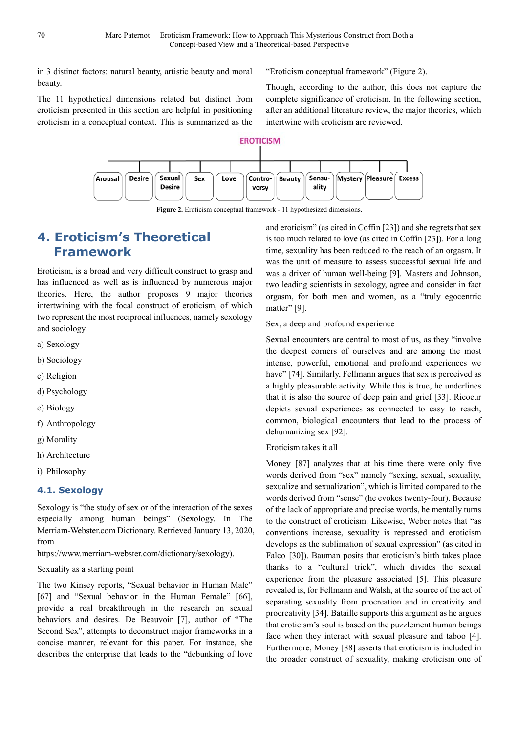in 3 distinct factors: natural beauty, artistic beauty and moral beauty.

The 11 hypothetical dimensions related but distinct from eroticism presented in this section are helpful in positioning eroticism in a conceptual context. This is summarized as the "Eroticism conceptual framework" (Figure 2).

Though, according to the author, this does not capture the complete significance of eroticism. In the following section, after an additional literature review, the major theories, which intertwine with eroticism are reviewed.



Figure 2. Eroticism conceptual framework - 11 hypothesized dimensions.

# **4. Eroticism's Theoretical Framework**

Eroticism, is a broad and very difficult construct to grasp and has influenced as well as is influenced by numerous major theories. Here, the author proposes 9 major theories intertwining with the focal construct of eroticism, of which two represent the most reciprocal influences, namely sexology and sociology.

- a) Sexology
- b) Sociology
- c) Religion
- d) Psychology
- e) Biology
- f) Anthropology
- g) Morality
- h) Architecture
- i) Philosophy

## **4.1. Sexology**

Sexology is "the study of sex or of the interaction of the sexes especially among human beings" (Sexology. In The Merriam-Webster.com Dictionary. Retrieved January 13, 2020, from

https://www.merriam-webster.com/dictionary/sexology).

Sexuality as a starting point

The two Kinsey reports, "Sexual behavior in Human Male" [67] and "Sexual behavior in the Human Female" [66], provide a real breakthrough in the research on sexual behaviors and desires. De Beauvoir [7], author of "The Second Sex", attempts to deconstruct major frameworks in a concise manner, relevant for this paper. For instance, she describes the enterprise that leads to the "debunking of love and eroticism" (as cited in Coffin [23]) and she regrets that sex is too much related to love (as cited in Coffin [23]). For a long time, sexuality has been reduced to the reach of an orgasm. It was the unit of measure to assess successful sexual life and was a driver of human well-being [9]. Masters and Johnson, two leading scientists in sexology, agree and consider in fact orgasm, for both men and women, as a "truly egocentric matter" [9].

#### Sex, a deep and profound experience

Sexual encounters are central to most of us, as they "involve the deepest corners of ourselves and are among the most intense, powerful, emotional and profound experiences we have" [74]. Similarly, Fellmann argues that sex is perceived as a highly pleasurable activity. While this is true, he underlines that it is also the source of deep pain and grief [33]. Ricoeur depicts sexual experiences as connected to easy to reach, common, biological encounters that lead to the process of dehumanizing sex [92].

#### Eroticism takes it all

Money [87] analyzes that at his time there were only five words derived from "sex" namely "sexing, sexual, sexuality, sexualize and sexualization", which is limited compared to the words derived from "sense" (he evokes twenty-four). Because of the lack of appropriate and precise words, he mentally turns to the construct of eroticism. Likewise, Weber notes that "as conventions increase, sexuality is repressed and eroticism develops as the sublimation of sexual expression" (as cited in Falco [30]). Bauman posits that eroticism's birth takes place thanks to a "cultural trick", which divides the sexual experience from the pleasure associated [5]. This pleasure revealed is, for Fellmann and Walsh, at the source of the act of separating sexuality from procreation and in creativity and procreativity [34]. Bataille supports this argument as he argues that eroticism's soul is based on the puzzlement human beings face when they interact with sexual pleasure and taboo [4]. Furthermore, Money [88] asserts that eroticism is included in the broader construct of sexuality, making eroticism one of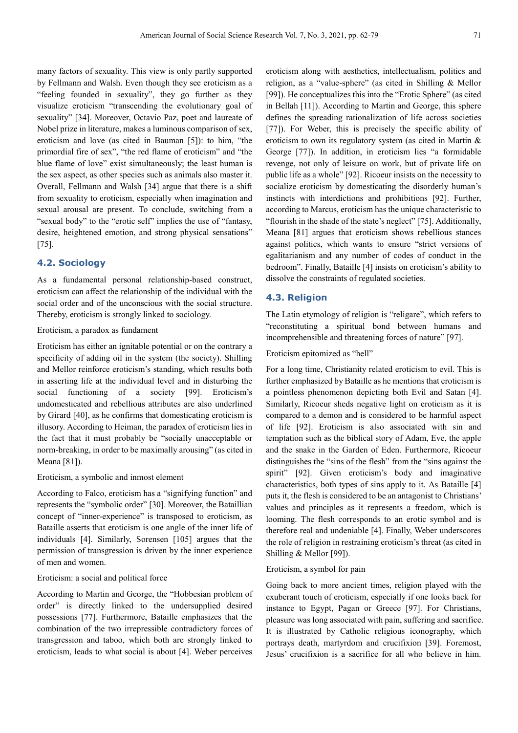many factors of sexuality. This view is only partly supported by Fellmann and Walsh. Even though they see eroticism as a "feeling founded in sexuality", they go further as they visualize eroticism "transcending the evolutionary goal of sexuality" [34]. Moreover, Octavio Paz, poet and laureate of Nobel prize in literature, makes a luminous comparison of sex, eroticism and love (as cited in Bauman [5]): to him, "the primordial fire of sex", "the red flame of eroticism" and "the blue flame of love" exist simultaneously; the least human is the sex aspect, as other species such as animals also master it. Overall, Fellmann and Walsh [34] argue that there is a shift from sexuality to eroticism, especially when imagination and sexual arousal are present. To conclude, switching from a "sexual body" to the "erotic self" implies the use of "fantasy, desire, heightened emotion, and strong physical sensations" [75].

### **4.2. Sociology**

As a fundamental personal relationship-based construct, eroticism can affect the relationship of the individual with the social order and of the unconscious with the social structure. Thereby, eroticism is strongly linked to sociology.

#### Eroticism, a paradox as fundament

Eroticism has either an ignitable potential or on the contrary a specificity of adding oil in the system (the society). Shilling and Mellor reinforce eroticism's standing, which results both in asserting life at the individual level and in disturbing the social functioning of a society [99]. Eroticism's undomesticated and rebellious attributes are also underlined by Girard [40], as he confirms that domesticating eroticism is illusory. According to Heiman, the paradox of eroticism lies in the fact that it must probably be "socially unacceptable or norm-breaking, in order to be maximally arousing" (as cited in Meana [81]).

#### Eroticism, a symbolic and inmost element

According to Falco, eroticism has a "signifying function" and represents the "symbolic order" [30]. Moreover, the Bataillian concept of "inner-experience" is transposed to eroticism, as Bataille asserts that eroticism is one angle of the inner life of individuals [4]. Similarly, Sorensen [105] argues that the permission of transgression is driven by the inner experience of men and women.

#### Eroticism: a social and political force

According to Martin and George, the "Hobbesian problem of order" is directly linked to the undersupplied desired possessions [77]. Furthermore, Bataille emphasizes that the combination of the two irrepressible contradictory forces of transgression and taboo, which both are strongly linked to eroticism, leads to what social is about [4]. Weber perceives

eroticism along with aesthetics, intellectualism, politics and religion, as a "value-sphere" (as cited in Shilling & Mellor [99]). He conceptualizes this into the "Erotic Sphere" (as cited in Bellah [11]). According to Martin and George, this sphere defines the spreading rationalization of life across societies [77]). For Weber, this is precisely the specific ability of eroticism to own its regulatory system (as cited in Martin & George [77]). In addition, in eroticism lies "a formidable revenge, not only of leisure on work, but of private life on public life as a whole" [92]. Ricoeur insists on the necessity to socialize eroticism by domesticating the disorderly human's instincts with interdictions and prohibitions [92]. Further, according to Marcus, eroticism has the unique characteristic to "flourish in the shade of the state's neglect" [75]. Additionally, Meana [81] argues that eroticism shows rebellious stances against politics, which wants to ensure "strict versions of egalitarianism and any number of codes of conduct in the bedroom". Finally, Bataille [4] insists on eroticism's ability to dissolve the constraints of regulated societies.

#### **4.3. Religion**

The Latin etymology of religion is "religare", which refers to "reconstituting a spiritual bond between humans and incomprehensible and threatening forces of nature" [97].

#### Eroticism epitomized as "hell"

For a long time, Christianity related eroticism to evil. This is further emphasized by Bataille as he mentions that eroticism is a pointless phenomenon depicting both Evil and Satan [4]. Similarly, Ricoeur sheds negative light on eroticism as it is compared to a demon and is considered to be harmful aspect of life [92]. Eroticism is also associated with sin and temptation such as the biblical story of Adam, Eve, the apple and the snake in the Garden of Eden. Furthermore, Ricoeur distinguishes the "sins of the flesh" from the "sins against the spirit" [92]. Given eroticism's body and imaginative characteristics, both types of sins apply to it. As Bataille [4] puts it, the flesh is considered to be an antagonist to Christians' values and principles as it represents a freedom, which is looming. The flesh corresponds to an erotic symbol and is therefore real and undeniable [4]. Finally, Weber underscores the role of religion in restraining eroticism's threat (as cited in Shilling & Mellor [99]).

#### Eroticism, a symbol for pain

Going back to more ancient times, religion played with the exuberant touch of eroticism, especially if one looks back for instance to Egypt, Pagan or Greece [97]. For Christians, pleasure was long associated with pain, suffering and sacrifice. It is illustrated by Catholic religious iconography, which portrays death, martyrdom and crucifixion [39]. Foremost, Jesus' crucifixion is a sacrifice for all who believe in him.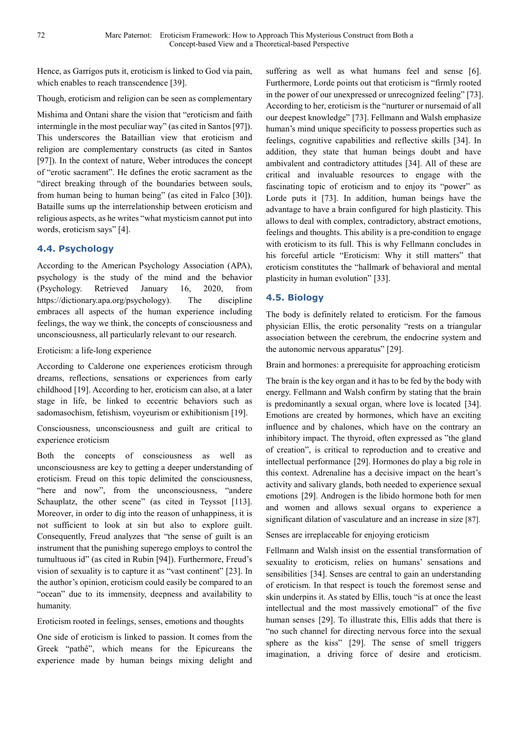Hence, as Garrigos puts it, eroticism is linked to God via pain, which enables to reach transcendence [39].

Though, eroticism and religion can be seen as complementary

Mishima and Ontani share the vision that "eroticism and faith intermingle in the most peculiar way" (as cited in Santos [97]). This underscores the Bataillian view that eroticism and religion are complementary constructs (as cited in Santos [97]). In the context of nature, Weber introduces the concept of "erotic sacrament". He defines the erotic sacrament as the "direct breaking through of the boundaries between souls, from human being to human being" (as cited in Falco [30]). Bataille sums up the interrelationship between eroticism and religious aspects, as he writes "what mysticism cannot put into words, eroticism says" [4].

## **4.4. Psychology**

According to the American Psychology Association (APA), psychology is the study of the mind and the behavior (Psychology. Retrieved January 16, 2020, from https://dictionary.apa.org/psychology). The discipline embraces all aspects of the human experience including feelings, the way we think, the concepts of consciousness and unconsciousness, all particularly relevant to our research.

Eroticism: a life-long experience

According to Calderone one experiences eroticism through dreams, reflections, sensations or experiences from early childhood [19]. According to her, eroticism can also, at a later stage in life, be linked to eccentric behaviors such as sadomasochism, fetishism, voyeurism or exhibitionism [19].

Consciousness, unconsciousness and guilt are critical to experience eroticism

Both the concepts of consciousness as well as unconsciousness are key to getting a deeper understanding of eroticism. Freud on this topic delimited the consciousness, "here and now", from the unconsciousness, "andere" Schauplatz, the other scene" (as cited in Teyssot [113]. Moreover, in order to dig into the reason of unhappiness, it is not sufficient to look at sin but also to explore guilt. Consequently, Freud analyzes that "the sense of guilt is an instrument that the punishing superego employs to control the tumultuous id" (as cited in Rubin [94]). Furthermore, Freud's vision of sexuality is to capture it as "vast continent" [23]. In the author's opinion, eroticism could easily be compared to an "ocean" due to its immensity, deepness and availability to humanity.

Eroticism rooted in feelings, senses, emotions and thoughts

One side of eroticism is linked to passion. It comes from the Greek "pathê", which means for the Epicureans the experience made by human beings mixing delight and suffering as well as what humans feel and sense [6]. Furthermore, Lorde points out that eroticism is "firmly rooted in the power of our unexpressed or unrecognized feeling" [73]. According to her, eroticism is the "nurturer or nursemaid of all our deepest knowledge" [73]. Fellmann and Walsh emphasize human's mind unique specificity to possess properties such as feelings, cognitive capabilities and reflective skills [34]. In addition, they state that human beings doubt and have ambivalent and contradictory attitudes [34]. All of these are critical and invaluable resources to engage with the fascinating topic of eroticism and to enjoy its "power" as Lorde puts it [73]. In addition, human beings have the advantage to have a brain configured for high plasticity. This allows to deal with complex, contradictory, abstract emotions, feelings and thoughts. This ability is a pre-condition to engage with eroticism to its full. This is why Fellmann concludes in his forceful article "Eroticism: Why it still matters" that eroticism constitutes the "hallmark of behavioral and mental plasticity in human evolution" [33].

## **4.5. Biology**

The body is definitely related to eroticism. For the famous physician Ellis, the erotic personality "rests on a triangular association between the cerebrum, the endocrine system and the autonomic nervous apparatus" [29].

Brain and hormones: a prerequisite for approaching eroticism

The brain is the key organ and it has to be fed by the body with energy. Fellmann and Walsh confirm by stating that the brain is predominantly a sexual organ, where love is located [34]. Emotions are created by hormones, which have an exciting influence and by chalones, which have on the contrary an inhibitory impact. The thyroid, often expressed as "the gland of creation", is critical to reproduction and to creative and intellectual performance [29]. Hormones do play a big role in this context. Adrenaline has a decisive impact on the heart's activity and salivary glands, both needed to experience sexual emotions [29]. Androgen is the libido hormone both for men and women and allows sexual organs to experience a significant dilation of vasculature and an increase in size [87].

Senses are irreplaceable for enjoying eroticism

Fellmann and Walsh insist on the essential transformation of sexuality to eroticism, relies on humans' sensations and sensibilities [34]. Senses are central to gain an understanding of eroticism. In that respect is touch the foremost sense and skin underpins it. As stated by Ellis, touch "is at once the least intellectual and the most massively emotional" of the five human senses [29]. To illustrate this, Ellis adds that there is "no such channel for directing nervous force into the sexual sphere as the kiss" [29]. The sense of smell triggers imagination, a driving force of desire and eroticism.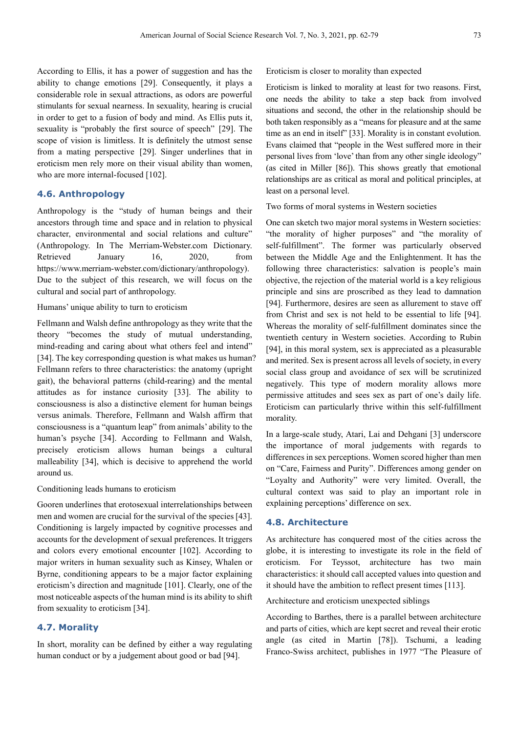According to Ellis, it has a power of suggestion and has the ability to change emotions [29]. Consequently, it plays a considerable role in sexual attractions, as odors are powerful stimulants for sexual nearness. In sexuality, hearing is crucial in order to get to a fusion of body and mind. As Ellis puts it, sexuality is "probably the first source of speech" [29]. The scope of vision is limitless. It is definitely the utmost sense from a mating perspective [29]. Singer underlines that in eroticism men rely more on their visual ability than women, who are more internal-focused [102].

### **4.6. Anthropology**

Anthropology is the "study of human beings and their ancestors through time and space and in relation to physical character, environmental and social relations and culture" (Anthropology. In The Merriam-Webster.com Dictionary. Retrieved January 16, 2020, from https://www.merriam-webster.com/dictionary/anthropology). Due to the subject of this research, we will focus on the cultural and social part of anthropology.

Humans' unique ability to turn to eroticism

Fellmann and Walsh define anthropology as they write that the theory "becomes the study of mutual understanding, mind-reading and caring about what others feel and intend" [34]. The key corresponding question is what makes us human? Fellmann refers to three characteristics: the anatomy (upright gait), the behavioral patterns (child-rearing) and the mental attitudes as for instance curiosity [33]. The ability to consciousness is also a distinctive element for human beings versus animals. Therefore, Fellmann and Walsh affirm that consciousness is a "quantum leap" from animals' ability to the human's psyche [34]. According to Fellmann and Walsh, precisely eroticism allows human beings a cultural malleability [34], which is decisive to apprehend the world around us.

Conditioning leads humans to eroticism

Gooren underlines that erotosexual interrelationships between men and women are crucial for the survival of the species [43]. Conditioning is largely impacted by cognitive processes and accounts for the development of sexual preferences. It triggers and colors every emotional encounter [102]. According to major writers in human sexuality such as Kinsey, Whalen or Byrne, conditioning appears to be a major factor explaining eroticism's direction and magnitude [101]. Clearly, one of the most noticeable aspects of the human mind is its ability to shift from sexuality to eroticism [34].

#### **4.7. Morality**

In short, morality can be defined by either a way regulating human conduct or by a judgement about good or bad [94].

Eroticism is closer to morality than expected

Eroticism is linked to morality at least for two reasons. First, one needs the ability to take a step back from involved situations and second, the other in the relationship should be both taken responsibly as a "means for pleasure and at the same time as an end in itself" [33]. Morality is in constant evolution. Evans claimed that "people in the West suffered more in their personal lives from 'love' than from any other single ideology" (as cited in Miller [86]). This shows greatly that emotional relationships are as critical as moral and political principles, at least on a personal level.

Two forms of moral systems in Western societies

One can sketch two major moral systems in Western societies: "the morality of higher purposes" and "the morality of self-fulfillment". The former was particularly observed between the Middle Age and the Enlightenment. It has the following three characteristics: salvation is people's main objective, the rejection of the material world is a key religious principle and sins are proscribed as they lead to damnation [94]. Furthermore, desires are seen as allurement to stave off from Christ and sex is not held to be essential to life [94]. Whereas the morality of self-fulfillment dominates since the twentieth century in Western societies. According to Rubin [94], in this moral system, sex is appreciated as a pleasurable and merited. Sex is present across all levels of society, in every social class group and avoidance of sex will be scrutinized negatively. This type of modern morality allows more permissive attitudes and sees sex as part of one's daily life. Eroticism can particularly thrive within this self-fulfillment morality.

In a large-scale study, Atari, Lai and Dehgani [3] underscore the importance of moral judgements with regards to differences in sex perceptions. Women scored higher than men on "Care, Fairness and Purity". Differences among gender on "Loyalty and Authority" were very limited. Overall, the cultural context was said to play an important role in explaining perceptions' difference on sex.

#### **4.8. Architecture**

As architecture has conquered most of the cities across the globe, it is interesting to investigate its role in the field of eroticism. For Teyssot, architecture has two main characteristics: it should call accepted values into question and it should have the ambition to reflect present times [113].

Architecture and eroticism unexpected siblings

According to Barthes, there is a parallel between architecture and parts of cities, which are kept secret and reveal their erotic angle (as cited in Martin [78]). Tschumi, a leading Franco-Swiss architect, publishes in 1977 "The Pleasure of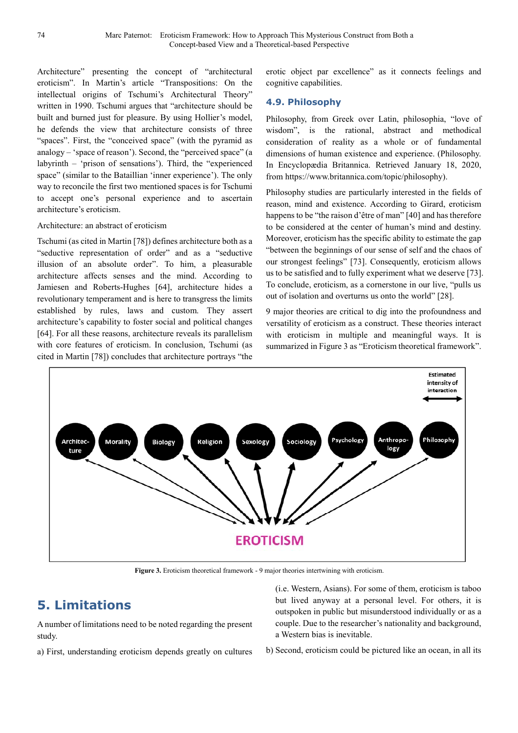Architecture" presenting the concept of "architectural eroticism". In Martin's article "Transpositions: On the intellectual origins of Tschumi's Architectural Theory" written in 1990. Tschumi argues that "architecture should be built and burned just for pleasure. By using Hollier's model, he defends the view that architecture consists of three "spaces". First, the "conceived space" (with the pyramid as analogy – 'space of reason'). Second, the "perceived space" (a labyrinth – 'prison of sensations'). Third, the "experienced space" (similar to the Bataillian 'inner experience'). The only way to reconcile the first two mentioned spaces is for Tschumi to accept one's personal experience and to ascertain architecture's eroticism.

#### Architecture: an abstract of eroticism

Tschumi (as cited in Martin [78]) defines architecture both as a "seductive representation of order" and as a "seductive illusion of an absolute order". To him, a pleasurable architecture affects senses and the mind. According to Jamiesen and Roberts-Hughes [64], architecture hides a revolutionary temperament and is here to transgress the limits established by rules, laws and custom. They assert architecture's capability to foster social and political changes [64]. For all these reasons, architecture reveals its parallelism with core features of eroticism. In conclusion, Tschumi (as cited in Martin [78]) concludes that architecture portrays "the erotic object par excellence" as it connects feelings and cognitive capabilities.

#### **4.9. Philosophy**

Philosophy, from Greek over Latin, philosophia, "love of wisdom", is the rational, abstract and methodical consideration of reality as a whole or of fundamental dimensions of human existence and experience. (Philosophy. In Encyclopædia Britannica. Retrieved January 18, 2020, from https://www.britannica.com/topic/philosophy).

Philosophy studies are particularly interested in the fields of reason, mind and existence. According to Girard, eroticism happens to be "the raison d'être of man" [40] and has therefore to be considered at the center of human's mind and destiny. Moreover, eroticism has the specific ability to estimate the gap "between the beginnings of our sense of self and the chaos of our strongest feelings" [73]. Consequently, eroticism allows us to be satisfied and to fully experiment what we deserve [73]. To conclude, eroticism, as a cornerstone in our live, "pulls us out of isolation and overturns us onto the world" [28].

9 major theories are critical to dig into the profoundness and versatility of eroticism as a construct. These theories interact with eroticism in multiple and meaningful ways. It is summarized in Figure 3 as "Eroticism theoretical framework".



**Figure 3.** Eroticism theoretical framework - 9 major theories intertwining with eroticism.

## **5. Limitations**

A number of limitations need to be noted regarding the present study.

a) First, understanding eroticism depends greatly on cultures

(i.e. Western, Asians). For some of them, eroticism is taboo but lived anyway at a personal level. For others, it is outspoken in public but misunderstood individually or as a couple. Due to the researcher's nationality and background, a Western bias is inevitable.

b) Second, eroticism could be pictured like an ocean, in all its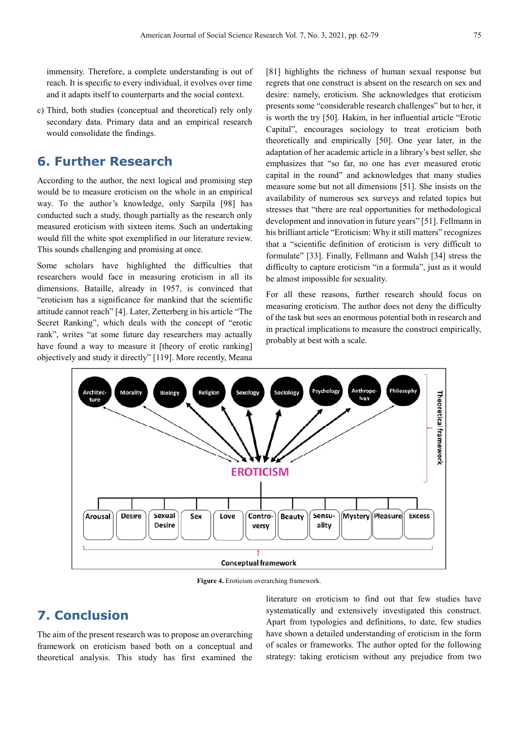immensity. Therefore, a complete understanding is out of reach. It is specific to every individual, it evolves over time and it adapts itself to counterparts and the social context.

c) Third, both studies (conceptual and theoretical) rely only secondary data. Primary data and an empirical research would consolidate the findings.

## **6. Further Research**

According to the author, the next logical and promising step would be to measure eroticism on the whole in an empirical way. To the author's knowledge, only Sarpila [98] has conducted such a study, though partially as the research only measured eroticism with sixteen items. Such an undertaking would fill the white spot exemplified in our literature review. This sounds challenging and promising at once.

Some scholars have highlighted the difficulties that researchers would face in measuring eroticism in all its dimensions. Bataille, already in 1957, is convinced that "eroticism has a significance for mankind that the scientific attitude cannot reach" [4]. Later, Zetterberg in his article "The Secret Ranking", which deals with the concept of "erotic rank", writes "at some future day researchers may actually have found a way to measure it [theory of erotic ranking] objectively and study it directly" [119]. More recently, Meana

[81] highlights the richness of human sexual response but regrets that one construct is absent on the research on sex and desire: namely, eroticism. She acknowledges that eroticism presents some "considerable research challenges" but to her, it is worth the try [50]. Hakim, in her influential article "Erotic Capital", encourages sociology to treat eroticism both theoretically and empirically [50]. One year later, in the adaptation of her academic article in a library's best seller, she emphasizes that "so far, no one has ever measured erotic capital in the round" and acknowledges that many studies measure some but not all dimensions [51]. She insists on the availability of numerous sex surveys and related topics but stresses that "there are real opportunities for methodological development and innovation in future years" [51]. Fellmann in his brilliant article "Eroticism: Why it still matters" recognizes that a "scientific definition of eroticism is very difficult to formulate" [33]. Finally, Fellmann and Walsh [34] stress the difficulty to capture eroticism "in a formula", just as it would be almost impossible for sexuality.

For all these reasons, further research should focus on measuring eroticism. The author does not deny the difficulty of the task but sees an enormous potential both in research and in practical implications to measure the construct empirically, probably at best with a scale.



**Figure 4.** Eroticism overarching framework.

## **7. Conclusion**

The aim of the present research was to propose an overarching framework on eroticism based both on a conceptual and theoretical analysis. This study has first examined the literature on eroticism to find out that few studies have systematically and extensively investigated this construct. Apart from typologies and definitions, to date, few studies have shown a detailed understanding of eroticism in the form of scales or frameworks. The author opted for the following strategy: taking eroticism without any prejudice from two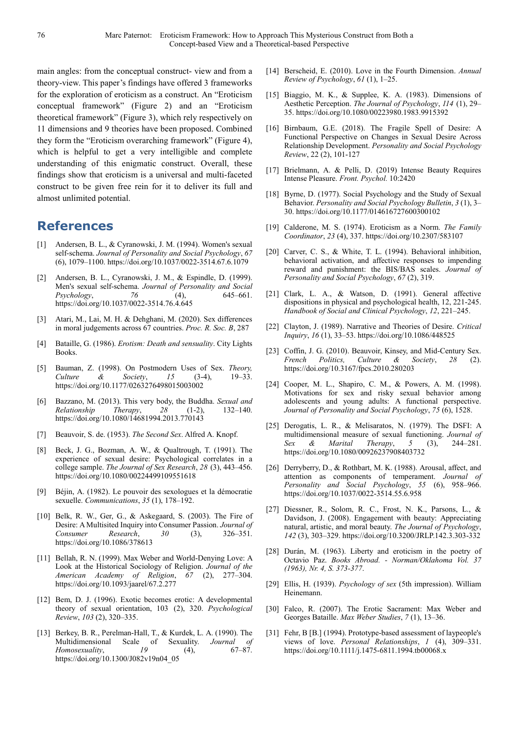main angles: from the conceptual construct- view and from a theory-view. This paper's findings have offered 3 frameworks for the exploration of eroticism as a construct. An "Eroticism conceptual framework" (Figure 2) and an "Eroticism theoretical framework" (Figure 3), which rely respectively on 11 dimensions and 9 theories have been proposed. Combined they form the "Eroticism overarching framework" (Figure 4), which is helpful to get a very intelligible and complete understanding of this enigmatic construct. Overall, these findings show that eroticism is a universal and multi-faceted construct to be given free rein for it to deliver its full and almost unlimited potential.

## **References**

- [1] Andersen, B. L., & Cyranowski, J. M. (1994). Women's sexual self-schema. *Journal of Personality and Social Psychology*, *67*  (6), 1079–1100. https://doi.org/10.1037/0022-3514.67.6.1079
- [2] Andersen, B. L., Cyranowski, J. M., & Espindle, D. (1999). Men's sexual self-schema. *Journal of Personality and Social Psychology*, *76* (4), 645–661. https://doi.org/10.1037/0022-3514.76.4.645
- [3] Atari, M., Lai, M. H. & Dehghani, M. (2020). Sex differences in moral judgements across 67 countries. *Proc. R. Soc. B*, 287
- [4] Bataille, G. (1986). *Erotism: Death and sensuality*. City Lights Books.
- [5] Bauman, Z. (1998). On Postmodern Uses of Sex. *Theory, Culture & Society*, https://doi.org/10.1177/0263276498015003002
- [6] Bazzano, M. (2013). This very body, the Buddha. *Sexual and Relationship Therapy*, *28* (1-2), 132–140. https://doi.org/10.1080/14681994.2013.770143
- [7] Beauvoir, S. de. (1953). *The Second Sex*. Alfred A. Knopf.
- [8] Beck, J. G., Bozman, A. W., & Qualtrough, T. (1991). The experience of sexual desire: Psychological correlates in a college sample. *The Journal of Sex Research*, *28* (3), 443–456. https://doi.org/10.1080/00224499109551618
- [9] Béjin, A. (1982). Le pouvoir des sexologues et la démocratie sexuelle. *Communications*, *35* (1), 178–192.
- [10] Belk, R. W., Ger, G., & Askegaard, S. (2003). The Fire of Desire: A Multisited Inquiry into Consumer Passion. *Journal of Consumer Research*, *30* (3), 326–351. https://doi.org/10.1086/378613
- [11] Bellah, R. N. (1999). Max Weber and World-Denying Love: A Look at the Historical Sociology of Religion. *Journal of the American Academy of Religion*, *67* (2), 277–304. https://doi.org/10.1093/jaarel/67.2.277
- [12] Bem, D. J. (1996). Exotic becomes erotic: A developmental theory of sexual orientation, 103 (2), 320. *Psychological Review*, *103* (2), 320–335.
- [13] Berkey, B. R., Perelman-Hall, T., & Kurdek, L. A. (1990). The Multidimensional Scale of Sexuality. *Journal of Homosexuality*, *19* (4), 67–87. https://doi.org/10.1300/J082v19n04\_05
- [14] Berscheid, E. (2010). Love in the Fourth Dimension. *Annual Review of Psychology*, *61* (1), 1–25.
- [15] Biaggio, M. K., & Supplee, K. A. (1983). Dimensions of Aesthetic Perception. *The Journal of Psychology*, *114* (1), 29– 35. https://doi.org/10.1080/00223980.1983.9915392
- [16] Birnbaum, G.E. (2018). The Fragile Spell of Desire: A Functional Perspective on Changes in Sexual Desire Across Relationship Development. *Personality and Social Psychology Review*, 22 (2), 101-127
- [17] Brielmann, A. & Pelli, D. (2019) Intense Beauty Requires Intense Pleasure. *Front. Psychol.* 10:2420
- [18] Byrne, D. (1977). Social Psychology and the Study of Sexual Behavior. *Personality and Social Psychology Bulletin*, *3* (1), 3– 30. https://doi.org/10.1177/014616727600300102
- [19] Calderone, M. S. (1974). Eroticism as a Norm. *The Family Coordinator*, *23* (4), 337. https://doi.org/10.2307/583107
- [20] Carver, C. S., & White, T. L. (1994). Behavioral inhibition, behavioral activation, and affective responses to impending reward and punishment: the BIS/BAS scales. *Journal of Personality and Social Psychology*, *67* (2), 319.
- [21] Clark, L. A., & Watson, D. (1991). General affective dispositions in physical and psychological health, 12, 221-245. *Handbook of Social and Clinical Psychology*, *12*, 221–245.
- [22] Clayton, J. (1989). Narrative and Theories of Desire. *Critical Inquiry*, *16* (1), 33–53. https://doi.org/10.1086/448525
- [23] Coffin, J. G. (2010). Beauvoir, Kinsey, and Mid-Century Sex.<br>French Politics, Culture & Society, 28 (2). *French Politics, Culture & Society*, *28* (2). https://doi.org/10.3167/fpcs.2010.280203
- [24] Cooper, M. L., Shapiro, C. M., & Powers, A. M. (1998). Motivations for sex and risky sexual behavior among adolescents and young adults: A functional perspective. *Journal of Personality and Social Psychology*, *75* (6), 1528.
- [25] Derogatis, L. R., & Melisaratos, N. (1979). The DSFI: A multidimensional measure of sexual functioning. *Journal of Sex & Marital Therapy*, *5* (3), 244–281. https://doi.org/10.1080/00926237908403732
- [26] Derryberry, D., & Rothbart, M. K. (1988). Arousal, affect, and attention as components of temperament. *Journal of Personality and Social Psychology*, *55* (6), 958–966. https://doi.org/10.1037/0022-3514.55.6.958
- [27] Diessner, R., Solom, R. C., Frost, N. K., Parsons, L., & Davidson, J. (2008). Engagement with beauty: Appreciating natural, artistic, and moral beauty. *The Journal of Psychology*, *142* (3), 303–329. https://doi.org/10.3200/JRLP.142.3.303-332
- [28] Durán, M. (1963). Liberty and eroticism in the poetry of Octavio Paz. *Books Abroad. - Norman/Oklahoma Vol. 37 (1963), Nr. 4, S. 373-377*.
- [29] Ellis, H. (1939). *Psychology of sex* (5th impression). William Heinemann.
- [30] Falco, R. (2007). The Erotic Sacrament: Max Weber and Georges Bataille. *Max Weber Studies*, *7* (1), 13–36.
- [31] Fehr, B [B.] (1994). Prototype-based assessment of laypeople's views of love. *Personal Relationships*, *1* (4), 309–331. https://doi.org/10.1111/j.1475-6811.1994.tb00068.x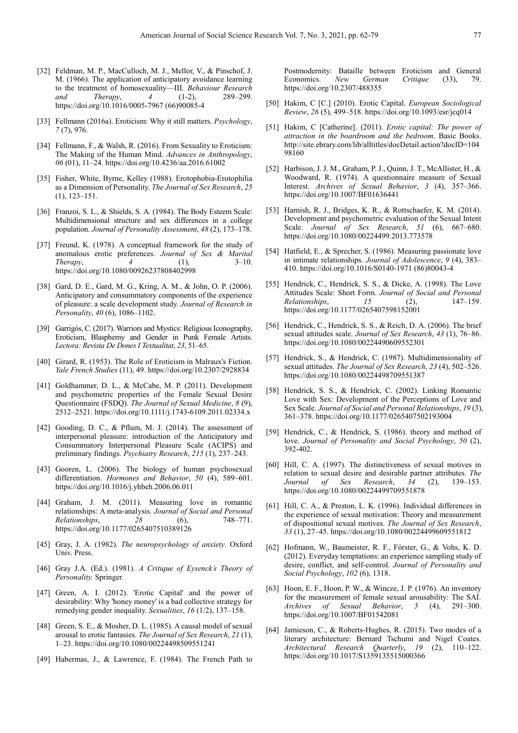- [32] Feldman, M. P., MacCulloch, M. J., Mellor, V., & Pinschof, J. M. (1966). The application of anticipatory avoidance learning to the treatment of homosexuality—III. *Behaviour Research and Therapy*, *4* (1-2), 289–299. https://doi.org/10.1016/0005-7967 (66)90085-4
- [33] Fellmann (2016a). Eroticism: Why it still matters. *Psychology*, *7* (7), 976.
- [34] Fellmann, F., & Walsh, R. (2016). From Sexuality to Eroticism: The Making of the Human Mind. *Advances in Anthropology*, *06* (01), 11–24. https://doi.org/10.4236/aa.2016.61002
- [35] Fisher, White, Byrne, Kelley (1988). Erotophobia-Erotophilia as a Dimension of Personality. *The Journal of Sex Research*, *25*  (1), 123–151.
- [36] Franzoi, S. L., & Shields, S. A. (1984). The Body Esteem Scale: Multidimensional structure and sex differences in a college population. *Journal of Personality Assessment*, *48* (2), 173–178.
- [37] Freund, K. (1978). A conceptual framework for the study of anomalous erotic preferences. *Journal of Sex & Marital Therapy*, *4* (1), 3–10. https://doi.org/10.1080/00926237808402998
- [38] Gard, D. E., Gard, M. G., Kring, A. M., & John, O. P. (2006). Anticipatory and consummatory components of the experience of pleasure: a scale development study. *Journal of Research in Personality*, *40* (6), 1086–1102.
- [39] Garrigós, C. (2017). Warriors and Mystics: Religious Iconography, Eroticism, Blasphemy and Gender in Punk Female Artists. *Lectora: Revista De Dones I Textualitat*, *23*, 51–65.
- [40] Girard, R. (1953). The Role of Eroticism in Malraux's Fiction. *Yale French Studies* (11), 49. https://doi.org/10.2307/2928834
- [41] Goldhammer, D. L., & McCabe, M. P. (2011). Development and psychometric properties of the Female Sexual Desire Questionnaire (FSDQ). *The Journal of Sexual Medicine*, *8* (9), 2512–2521. https://doi.org/10.1111/j.1743-6109.2011.02334.x
- [42] Gooding, D. C., & Pflum, M. J. (2014). The assessment of interpersonal pleasure: introduction of the Anticipatory and Consummatory Interpersonal Pleasure Scale (ACIPS) and preliminary findings. *Psychiatry Research*, *215* (1), 237–243.
- [43] Gooren, L. (2006). The biology of human psychosexual differentiation. *Hormones and Behavior*, *50* (4), 589–601. https://doi.org/10.1016/j.yhbeh.2006.06.011
- [44] Graham, J. M. (2011). Measuring love in romantic relationships: A meta-analysis. *Journal of Social and Personal Relationships*, *28* (6), 748–771. https://doi.org/10.1177/0265407510389126
- [45] Gray, J. A. (1982). *The neuropsychology of anxiety*. Oxford Univ. Press.
- [46] Gray J.A. (Ed.). (1981). *A Critique of Eysenck's Theory of Personality.* Springer.
- [47] Green, A. I. (2012). 'Erotic Capital' and the power of desirability: Why 'honey money' is a bad collective strategy for remedying gender inequality. *Sexualities*, *16* (1/2), 137–158.
- [48] Green, S. E., & Mosher, D. L. (1985). A causal model of sexual arousal to erotic fantasies. *The Journal of Sex Research*, *21* (1), 1–23. https://doi.org/10.1080/00224498509551241
- [49] Habermas, J., & Lawrence, F. (1984). The French Path to

Postmodernity: Bataille between Eroticism and General Economics. *New German Critique* (33), 79. https://doi.org/10.2307/488355

- [50] Hakim, C [C.] (2010). Erotic Capital. *European Sociological Review*, *26* (5), 499–518. https://doi.org/10.1093/esr/jcq014
- [51] Hakim, C [Catherine]. (2011). *Erotic capital: The power of attraction in the boardroom and the bedroom*. Basic Books. http://site.ebrary.com/lib/alltitles/docDetail.action?docID=104 98160
- [52] Harbison, J. J. M., Graham, P. J., Quinn, J. T., McAllister, H., & Woodward, R. (1974). A questionnaire measure of Sexual Interest. *Archives of Sexual Behavior*, *3* (4), 357–366. https://doi.org/10.1007/BF01636441
- [53] Harnish, R. J., Bridges, K. R., & Rottschaefer, K. M. (2014). Development and psychometric evaluation of the Sexual Intent Scale. *Journal of Sex Research*, *51* (6), 667–680. https://doi.org/10.1080/00224499.2013.773578
- [54] Hatfield, E., & Sprecher, S. (1986). Measuring passionate love in intimate relationships. *Journal of Adolescence*, *9* (4), 383– 410. https://doi.org/10.1016/S0140-1971 (86)80043-4
- [55] Hendrick, C., Hendrick, S. S., & Dicke, A. (1998). The Love Attitudes Scale: Short Form. *Journal of Social and Personal Relationships*, *15* (2), 147–159. https://doi.org/10.1177/0265407598152001
- [56] Hendrick, C., Hendrick, S. S., & Reich, D. A. (2006). The brief sexual attitudes scale. *Journal of Sex Research*, *43* (1), 76–86. https://doi.org/10.1080/00224490609552301
- [57] Hendrick, S., & Hendrick, C. (1987). Multidimensionality of sexual attitudes. *The Journal of Sex Research*, *23* (4), 502–526. https://doi.org/10.1080/00224498709551387
- [58] Hendrick, S. S., & Hendrick, C. (2002). Linking Romantic Love with Sex: Development of the Perceptions of Love and Sex Scale. *Journal of Social and Personal Relationships*, *19* (3), 361–378. https://doi.org/10.1177/0265407502193004
- [59] Hendrick, C., & Hendrick, S. (1986). theory and method of love. *Journal of Personality and Social Psychology*, *50* (2), 392-402.
- [60] Hill, C. A. (1997). The distinctiveness of sexual motives in relation to sexual desire and desirable partner attributes. *The Journal* of *Sex Research*, 34 (2), 139–153. *Journal of Sex Research*, 34 (2), https://doi.org/10.1080/00224499709551878
- [61] Hill, C. A., & Preston, L. K. (1996). Individual differences in the experience of sexual motivation: Theory and measurement of dispositional sexual motives. *The Journal of Sex Research*, *33* (1), 27–45. https://doi.org/10.1080/00224499609551812
- [62] Hofmann, W., Baumeister, R. F., Förster, G., & Vohs, K. D. (2012). Everyday temptations: an experience sampling study of desire, conflict, and self-control. *Journal of Personality and Social Psychology*, *102* (6), 1318.
- [63] Hoon, E. F., Hoon, P. W., & Wincze, J. P. (1976). An inventory for the measurement of female sexual arousability: The SAI. *Archives of Sexual Behavior*, *5* (4), 291–300. https://doi.org/10.1007/BF01542081
- [64] Jamieson, C., & Roberts-Hughes, R. (2015). Two modes of a literary architecture: Bernard Tschumi and Nigel Coates. *Architectural Research Quarterly*, *19* (2), 110–122. https://doi.org/10.1017/S1359135515000366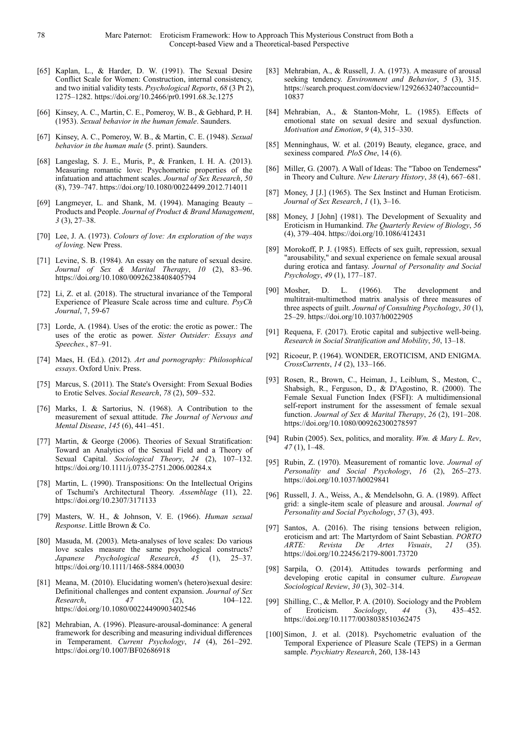- [65] Kaplan, L., & Harder, D. W. (1991). The Sexual Desire Conflict Scale for Women: Construction, internal consistency, and two initial validity tests. *Psychological Reports*, *68* (3 Pt 2), 1275–1282. https://doi.org/10.2466/pr0.1991.68.3c.1275
- [66] Kinsey, A. C., Martin, C. E., Pomeroy, W. B., & Gebhard, P. H. (1953). *Sexual behavior in the human female*. Saunders.
- [67] Kinsey, A. C., Pomeroy, W. B., & Martin, C. E. (1948). *Sexual behavior in the human male* (5. print). Saunders.
- [68] Langeslag, S. J. E., Muris, P., & Franken, I. H. A. (2013). Measuring romantic love: Psychometric properties of the infatuation and attachment scales. *Journal of Sex Research*, *50* (8), 739–747. https://doi.org/10.1080/00224499.2012.714011
- [69] Langmeyer, L. and Shank, M. (1994). Managing Beauty Products and People. *Journal of Product & Brand Management*, *3* (3), 27–38.
- [70] Lee, J. A. (1973). *Colours of love: An exploration of the ways of loving*. New Press.
- [71] Levine, S. B. (1984). An essay on the nature of sexual desire. *Journal of Sex & Marital Therapy*, *10* (2), 83–96. https://doi.org/10.1080/00926238408405794
- [72] Li, Z. et al. (2018). The structural invariance of the Temporal Experience of Pleasure Scale across time and culture. *PsyCh Journal*, 7, 59-67
- [73] Lorde, A. (1984). Uses of the erotic: the erotic as power.: The uses of the erotic as power. *Sister Outsider: Essays and Speeches.*, 87–91.
- [74] Maes, H. (Ed.). (2012). *Art and pornography: Philosophical essays*. Oxford Univ. Press.
- [75] Marcus, S. (2011). The State's Oversight: From Sexual Bodies to Erotic Selves. *Social Research*, *78* (2), 509–532.
- [76] Marks, I. & Sartorius, N. (1968). A Contribution to the measurement of sexual attitude. *The Journal of Nervous and Mental Disease*, *145* (6), 441–451.
- [77] Martin, & George (2006). Theories of Sexual Stratification: Toward an Analytics of the Sexual Field and a Theory of Sexual Capital. *Sociological Theory*, *24* (2), 107–132. https://doi.org/10.1111/j.0735-2751.2006.00284.x
- [78] Martin, L. (1990). Transpositions: On the Intellectual Origins of Tschumi's Architectural Theory. *Assemblage* (11), 22. https://doi.org/10.2307/3171133
- [79] Masters, W. H., & Johnson, V. E. (1966). *Human sexual Response*. Little Brown & Co.
- [80] Masuda, M. (2003). Meta-analyses of love scales: Do various love scales measure the same psychological constructs? *Japanese Psychological Research*, *45* (1), 25–37. https://doi.org/10.1111/1468-5884.00030
- [81] Meana, M. (2010). Elucidating women's (hetero)sexual desire: Definitional challenges and content expansion. *Journal of Sex Research*, *47* (2), 104–122. https://doi.org/10.1080/00224490903402546
- [82] Mehrabian, A. (1996). Pleasure-arousal-dominance: A general framework for describing and measuring individual differences in Temperament. *Current Psychology*, *14* (4), 261–292. https://doi.org/10.1007/BF02686918
- [83] Mehrabian, A., & Russell, J. A. (1973). A measure of arousal seeking tendency. *Environment and Behavior*, *5* (3), 315. https://search.proquest.com/docview/1292663240?accountid= 10837
- [84] Mehrabian, A., & Stanton-Mohr, L. (1985). Effects of emotional state on sexual desire and sexual dysfunction. *Motivation and Emotion*, *9* (4), 315–330.
- [85] Menninghaus, W. et al. (2019) Beauty, elegance, grace, and sexiness compared*. PloS One*, 14 (6).
- [86] Miller, G. (2007). A Wall of Ideas: The "Taboo on Tenderness" in Theory and Culture. *New Literary History*, *38* (4), 667–681.
- [87] Money, J [J.] (1965). The Sex Instinct and Human Eroticism. *Journal of Sex Research*, *1* (1), 3–16.
- [88] Money, J [John] (1981). The Development of Sexuality and Eroticism in Humankind. *The Quarterly Review of Biology*, *56* (4), 379–404. https://doi.org/10.1086/412431
- [89] Morokoff, P. J. (1985). Effects of sex guilt, repression, sexual "arousability," and sexual experience on female sexual arousal during erotica and fantasy. *Journal of Personality and Social Psychology*, *49* (1), 177–187.
- [90] Mosher, D. L. (1966). The development and multitrait-multimethod matrix analysis of three measures of three aspects of guilt. *Journal of Consulting Psychology*, *30* (1), 25–29. https://doi.org/10.1037/h0022905
- [91] Requena, F. (2017). Erotic capital and subjective well-being. *Research in Social Stratification and Mobility*, *50*, 13–18.
- [92] Ricoeur, P. (1964). WONDER, EROTICISM, AND ENIGMA. *CrossCurrents*, *14* (2), 133–166.
- [93] Rosen, R., Brown, C., Heiman, J., Leiblum, S., Meston, C., Shabsigh, R., Ferguson, D., & D'Agostino, R. (2000). The Female Sexual Function Index (FSFI): A multidimensional self-report instrument for the assessment of female sexual function. *Journal of Sex & Marital Therapy*, *26* (2), 191–208. https://doi.org/10.1080/009262300278597
- [94] Rubin (2005). Sex, politics, and morality. *Wm. & Mary L. Rev*, *47* (1), 1–48.
- [95] Rubin, Z. (1970). Measurement of romantic love. *Journal of Personality and Social Psychology*, *16* (2), 265–273. https://doi.org/10.1037/h0029841
- [96] Russell, J. A., Weiss, A., & Mendelsohn, G. A. (1989). Affect grid: a single-item scale of pleasure and arousal. *Journal of Personality and Social Psychology*, *57* (3), 493.
- [97] Santos, A. (2016). The rising tensions between religion, eroticism and art: The Martyrdom of Saint Sebastian. *PORTO Revista De Artes Visuais*, 21 (35). https://doi.org/10.22456/2179-8001.73720
- [98] Sarpila, O. (2014). Attitudes towards performing and developing erotic capital in consumer culture. *European Sociological Review*, *30* (3), 302–314.
- [99] Shilling, C., & Mellor, P. A. (2010). Sociology and the Problem of Eroticism. *Sociology*, *44* (3), 435–452. https://doi.org/10.1177/0038038510362475
- [100] Simon, J. et al. (2018). Psychometric evaluation of the Temporal Experience of Pleasure Scale (TEPS) in a German sample. *Psychiatry Research*, 260, 138-143